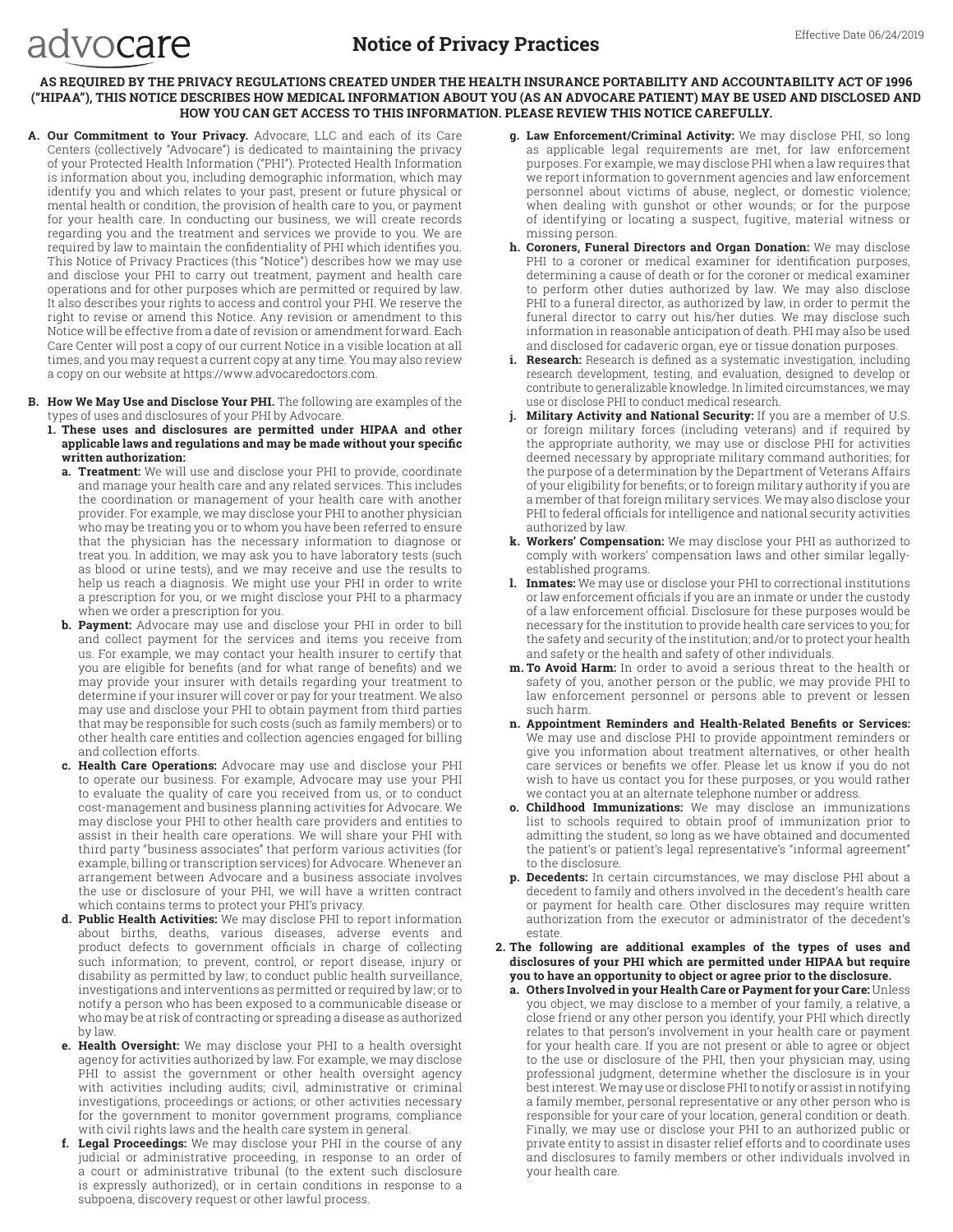## **AS REQUIRED BY THE PRIVACY REGULATIONS CREATED UNDER THE HEALTH INSURANCE PORTABILITY AND ACCOUNTABILITY ACT OF 1996 ("HIPAA"), THIS NOTICE DESCRIBES HOW MEDICAL INFORMATION ABOUT YOU (AS AN ADVOCARE PATIENT) MAY BE USED AND DISCLOSED AND HOW YOU CAN GET ACCESS TO THIS INFORMATION. PLEASE REVIEW THIS NOTICE CAREFULLY.**

**A. Our Commitment to Your Privacy.** Advocare, LLC and each of its Care Centers (collectively "Advocare") is dedicated to maintaining the privacy of your Protected Health Information ("PHI"). Protected Health Information is information about you, including demographic information, which may identify you and which relates to your past, present or future physical or mental health or condition, the provision of health care to you, or payment for your health care. In conducting our business, we will create records regarding you and the treatment and services we provide to you. We are required by law to maintain the confidentiality of PHI which identifies you. This Notice of Privacy Practices (this "Notice") describes how we may use and disclose your PHI to carry out treatment, payment and health care operations and for other purposes which are permitted or required by law. It also describes your rights to access and control your PHI. We reserve the right to revise or amend this Notice. Any revision or amendment to this Notice will be effective from a date of revision or amendment forward. Each Care Center will post a copy of our current Notice in a visible location at all times, and you may request a current copy at any time. You may also review a copy on our website at https://www.advocaredoctors.com.

advocare

- **B. How We May Use and Disclose Your PHI.** The following are examples of the types of uses and disclosures of your PHI by Advocare.
	- **1. These uses and disclosures are permitted under HIPAA and other applicable laws and regulations and may be made without your specific written authorization:**
		- **a. Treatment:** We will use and disclose your PHI to provide, coordinate and manage your health care and any related services. This includes the coordination or management of your health care with another provider. For example, we may disclose your PHI to another physician who may be treating you or to whom you have been referred to ensure that the physician has the necessary information to diagnose or treat you. In addition, we may ask you to have laboratory tests (such as blood or urine tests), and we may receive and use the results to help us reach a diagnosis. We might use your PHI in order to write a prescription for you, or we might disclose your PHI to a pharmacy when we order a prescription for you.
		- **b. Payment:** Advocare may use and disclose your PHI in order to bill and collect payment for the services and items you receive from us. For example, we may contact your health insurer to certify that you are eligible for benefits (and for what range of benefits) and we may provide your insurer with details regarding your treatment to determine if your insurer will cover or pay for your treatment. We also may use and disclose your PHI to obtain payment from third parties that may be responsible for such costs (such as family members) or to other health care entities and collection agencies engaged for billing and collection efforts.
		- **c. Health Care Operations:** Advocare may use and disclose your PHI to operate our business. For example, Advocare may use your PHI to evaluate the quality of care you received from us, or to conduct cost-management and business planning activities for Advocare. We may disclose your PHI to other health care providers and entities to assist in their health care operations. We will share your PHI with third party "business associates" that perform various activities (for example, billing or transcription services) for Advocare. Whenever an arrangement between Advocare and a business associate involves the use or disclosure of your PHI, we will have a written contract which contains terms to protect your PHI's privacy.
		- **d. Public Health Activities:** We may disclose PHI to report information about births, deaths, various diseases, adverse events and product defects to government officials in charge of collecting such information; to prevent, control, or report disease, injury or disability as permitted by law; to conduct public health surveillance, investigations and interventions as permitted or required by law; or to notify a person who has been exposed to a communicable disease or who may be at risk of contracting or spreading a disease as authorized by law.
		- **e. Health Oversight:** We may disclose your PHI to a health oversight agency for activities authorized by law. For example, we may disclose PHI to assist the government or other health oversight agency with activities including audits; civil, administrative or criminal investigations, proceedings or actions; or other activities necessary for the government to monitor government programs, compliance with civil rights laws and the health care system in general.
		- **f. Legal Proceedings:** We may disclose your PHI in the course of any judicial or administrative proceeding, in response to an order of a court or administrative tribunal (to the extent such disclosure is expressly authorized), or in certain conditions in response to a subpoena, discovery request or other lawful process.
- **g. Law Enforcement/Criminal Activity:** We may disclose PHI, so long as applicable legal requirements are met, for law enforcement purposes. For example, we may disclose PHI when a law requires that we report information to government agencies and law enforcement personnel about victims of abuse, neglect, or domestic violence; when dealing with gunshot or other wounds; or for the purpose of identifying or locating a suspect, fugitive, material witness or missing person.
- **h. Coroners, Funeral Directors and Organ Donation:** We may disclose PHI to a coroner or medical examiner for identification purposes, determining a cause of death or for the coroner or medical examiner to perform other duties authorized by law. We may also disclose PHI to a funeral director, as authorized by law, in order to permit the funeral director to carry out his/her duties. We may disclose such information in reasonable anticipation of death. PHI may also be used and disclosed for cadaveric organ, eye or tissue donation purposes.
- **i. Research:** Research is defined as a systematic investigation, including research development, testing, and evaluation, designed to develop or contribute to generalizable knowledge. In limited circumstances, we may use or disclose PHI to conduct medical research.
- **j. Military Activity and National Security:** If you are a member of U.S. or foreign military forces (including veterans) and if required by the appropriate authority, we may use or disclose PHI for activities deemed necessary by appropriate military command authorities; for the purpose of a determination by the Department of Veterans Affairs of your eligibility for benefits; or to foreign military authority if you are a member of that foreign military services. We may also disclose your PHI to federal officials for intelligence and national security activities authorized by law.
- **k. Workers' Compensation:** We may disclose your PHI as authorized to comply with workers' compensation laws and other similar legallyestablished programs.
- **l. Inmates:** We may use or disclose your PHI to correctional institutions or law enforcement officials if you are an inmate or under the custody of a law enforcement official. Disclosure for these purposes would be necessary for the institution to provide health care services to you; for the safety and security of the institution; and/or to protect your health and safety or the health and safety of other individuals.
- **m. To Avoid Harm:** In order to avoid a serious threat to the health or safety of you, another person or the public, we may provide PHI to law enforcement personnel or persons able to prevent or lessen such harm.
- **n. Appointment Reminders and Health-Related Benefits or Services:**  We may use and disclose PHI to provide appointment reminders or give you information about treatment alternatives, or other health care services or benefits we offer. Please let us know if you do not wish to have us contact you for these purposes, or you would rather we contact you at an alternate telephone number or address.
- **o. Childhood Immunizations:** We may disclose an immunizations list to schools required to obtain proof of immunization prior to admitting the student, so long as we have obtained and documented the patient's or patient's legal representative's "informal agreement" to the disclosure.
- **p. Decedents:** In certain circumstances, we may disclose PHI about a decedent to family and others involved in the decedent's health care or payment for health care. Other disclosures may require written authorization from the executor or administrator of the decedent's estate.
- **2. The following are additional examples of the types of uses and disclosures of your PHI which are permitted under HIPAA but require you to have an opportunity to object or agree prior to the disclosure.**
	- **a. Others Involved in your Health Care or Payment for your Care:** Unless you object, we may disclose to a member of your family, a relative, a close friend or any other person you identify, your PHI which directly relates to that person's involvement in your health care or payment for your health care. If you are not present or able to agree or object to the use or disclosure of the PHI, then your physician may, using professional judgment, determine whether the disclosure is in your best interest. We may use or disclose PHI to notify or assist in notifying a family member, personal representative or any other person who is responsible for your care of your location, general condition or death. Finally, we may use or disclose your PHI to an authorized public or private entity to assist in disaster relief efforts and to coordinate uses and disclosures to family members or other individuals involved in your health care.